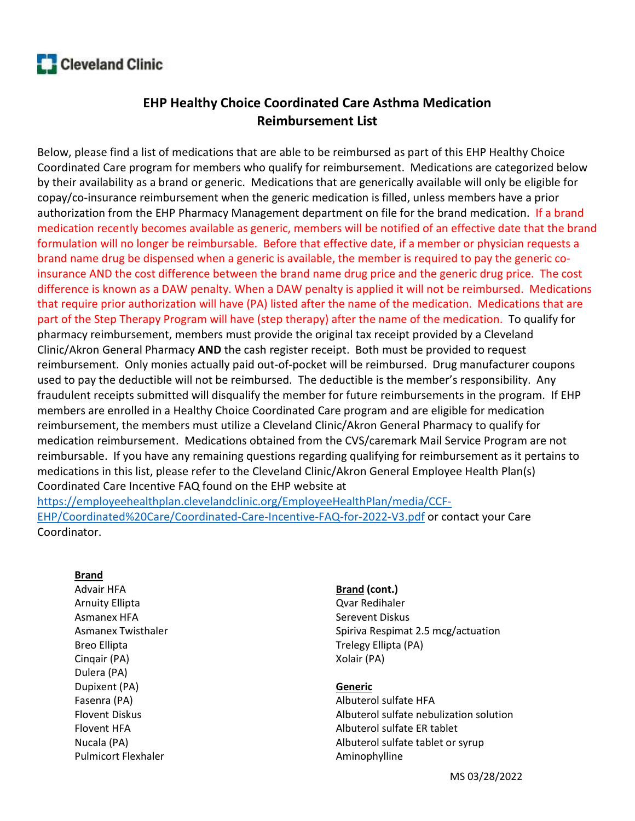# **Cleveland Clinic**

# EHP Healthy Choice Coordinated Care Asthma Medication Reimbursement List

Below, please find a list of medications that are able to be reimbursed as part of this EHP Healthy Choice Coordinated Care program for members who qualify for reimbursement. Medications are categorized below by their availability as a brand or generic. Medications that are generically available will only be eligible for copay/co-insurance reimbursement when the generic medication is filled, unless members have a prior authorization from the EHP Pharmacy Management department on file for the brand medication. If a brand medication recently becomes available as generic, members will be notified of an effective date that the brand formulation will no longer be reimbursable. Before that effective date, if a member or physician requests a brand name drug be dispensed when a generic is available, the member is required to pay the generic coinsurance AND the cost difference between the brand name drug price and the generic drug price. The cost difference is known as a DAW penalty. When a DAW penalty is applied it will not be reimbursed. Medications that require prior authorization will have (PA) listed after the name of the medication. Medications that are part of the Step Therapy Program will have (step therapy) after the name of the medication. To qualify for pharmacy reimbursement, members must provide the original tax receipt provided by a Cleveland Clinic/Akron General Pharmacy AND the cash register receipt. Both must be provided to request reimbursement. Only monies actually paid out-of-pocket will be reimbursed. Drug manufacturer coupons used to pay the deductible will not be reimbursed. The deductible is the member's responsibility. Any fraudulent receipts submitted will disqualify the member for future reimbursements in the program. If EHP members are enrolled in a Healthy Choice Coordinated Care program and are eligible for medication reimbursement, the members must utilize a Cleveland Clinic/Akron General Pharmacy to qualify for medication reimbursement. Medications obtained from the CVS/caremark Mail Service Program are not reimbursable. If you have any remaining questions regarding qualifying for reimbursement as it pertains to medications in this list, please refer to the Cleveland Clinic/Akron General Employee Health Plan(s) Coordinated Care Incentive FAQ found on the EHP website at https://employeehealthplan.clevelandclinic.org/EmployeeHealthPlan/media/CCF-

EHP/Coordinated%20Care/Coordinated-Care-Incentive-FAQ-for-2022-V3.pdf or contact your Care Coordinator.

## **Brand**

Advair HFA Arnuity Ellipta Asmanex HFA Asmanex Twisthaler Breo Ellipta Cinqair (PA) Dulera (PA) Dupixent (PA) Fasenra (PA) Flovent Diskus Flovent HFA Nucala (PA) Pulmicort Flexhaler

#### Brand (cont.)

Qvar Redihaler Serevent Diskus Spiriva Respimat 2.5 mcg/actuation Trelegy Ellipta (PA) Xolair (PA)

#### Generic

Albuterol sulfate HFA Albuterol sulfate nebulization solution Albuterol sulfate ER tablet Albuterol sulfate tablet or syrup Aminophylline